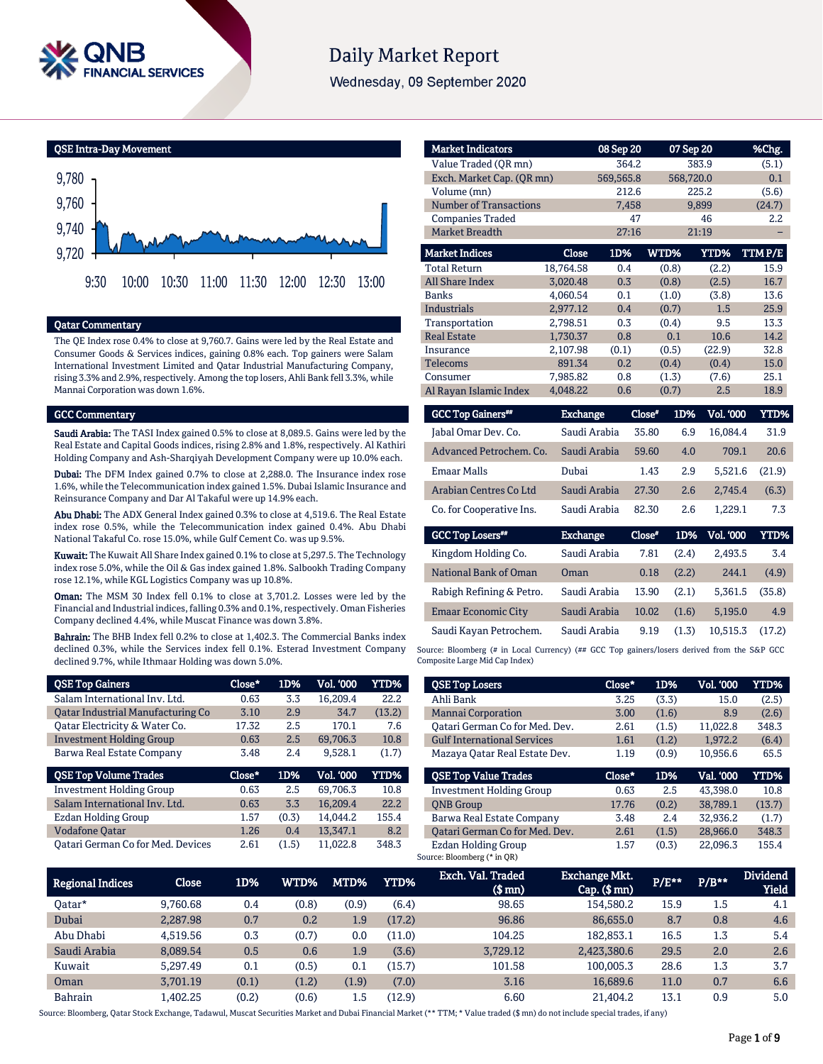

# **Daily Market Report**

Wednesday, 09 September 2020

QSE Intra-Day Movement



#### Qatar Commentary

The QE Index rose 0.4% to close at 9,760.7. Gains were led by the Real Estate and Consumer Goods & Services indices, gaining 0.8% each. Top gainers were Salam International Investment Limited and Qatar Industrial Manufacturing Company, rising 3.3% and 2.9%, respectively. Among the top losers, Ahli Bank fell 3.3%, while Mannai Corporation was down 1.6%.

#### GCC Commentary

Saudi Arabia: The TASI Index gained 0.5% to close at 8,089.5. Gains were led by the Real Estate and Capital Goods indices, rising 2.8% and 1.8%, respectively. Al Kathiri Holding Company and Ash-Sharqiyah Development Company were up 10.0% each.

Dubai: The DFM Index gained 0.7% to close at 2,288.0. The Insurance index rose 1.6%, while the Telecommunication index gained 1.5%. Dubai Islamic Insurance and Reinsurance Company and Dar Al Takaful were up 14.9% each.

Abu Dhabi: The ADX General Index gained 0.3% to close at 4,519.6. The Real Estate index rose 0.5%, while the Telecommunication index gained 0.4%. Abu Dhabi National Takaful Co. rose 15.0%, while Gulf Cement Co. was up 9.5%.

Kuwait: The Kuwait All Share Index gained 0.1% to close at 5,297.5. The Technology index rose 5.0%, while the Oil & Gas index gained 1.8%. Salbookh Trading Company rose 12.1%, while KGL Logistics Company was up 10.8%.

Oman: The MSM 30 Index fell 0.1% to close at 3,701.2. Losses were led by the Financial and Industrial indices, falling 0.3% and 0.1%, respectively. Oman Fisheries Company declined 4.4%, while Muscat Finance was down 3.8%.

Bahrain: The BHB Index fell 0.2% to close at 1,402.3. The Commercial Banks index declined 0.3%, while the Services index fell 0.1%. Esterad Investment Company declined 9.7%, while Ithmaar Holding was down 5.0%.

| <b>QSE Top Gainers</b>            | Close* | 1D%   | Vol. '000 | YTD%   |
|-----------------------------------|--------|-------|-----------|--------|
| Salam International Inv. Ltd.     | 0.63   | 3.3   | 16,209.4  | 22.2   |
| Oatar Industrial Manufacturing Co | 3.10   | 2.9   | 34.7      | (13.2) |
| Qatar Electricity & Water Co.     | 17.32  | 2.5   | 170.1     | 7.6    |
| <b>Investment Holding Group</b>   | 0.63   | 2.5   | 69,706.3  | 10.8   |
| Barwa Real Estate Company         | 3.48   | 2.4   | 9,528.1   | (1.7)  |
|                                   |        |       |           |        |
| <b>QSE Top Volume Trades</b>      | Close* | 1D%   | Vol. '000 | YTD%   |
| <b>Investment Holding Group</b>   | 0.63   | 2.5   | 69.706.3  | 10.8   |
| Salam International Inv. Ltd.     | 0.63   | 3.3   | 16,209.4  | 22.2   |
| Ezdan Holding Group               | 1.57   | (0.3) | 14.044.2  | 155.4  |
| <b>Vodafone Qatar</b>             | 1.26   | 0.4   | 13.347.1  | 8.2    |

| <b>Market Indicators</b>      |           | 08 Sep 20 |             | 07 Sep 20 | %Chg.   |
|-------------------------------|-----------|-----------|-------------|-----------|---------|
| Value Traded (OR mn)          | 364.2     |           | 383.9       | (5.1)     |         |
| Exch. Market Cap. (QR mn)     |           | 569,565.8 |             | 568,720.0 | 0.1     |
| Volume (mn)                   |           | 212.6     |             | 225.2     | (5.6)   |
| <b>Number of Transactions</b> |           | 7,458     |             | 9,899     | (24.7)  |
| <b>Companies Traded</b>       |           | 47        |             | 46        | $2.2\,$ |
| <b>Market Breadth</b>         |           | 27:16     |             | 21:19     |         |
| <b>Market Indices</b>         | Close     | 1D%       | <b>WTD%</b> | YTD%      | TTMP/E  |
| <b>Total Return</b>           | 18.764.58 | 0.4       | (0.8)       | (2.2)     | 15.9    |
| <b>All Share Index</b>        | 3,020.48  | 0.3       | (0.8)       | (2.5)     | 16.7    |
| <b>Banks</b>                  | 4,060.54  | 0.1       | (1.0)       | (3.8)     | 13.6    |
| <b>Industrials</b>            | 2,977.12  | 0.4       | (0.7)       | 1.5       | 25.9    |
| Transportation                | 2,798.51  | 0.3       | (0.4)       | 9.5       | 13.3    |
| <b>Real Estate</b>            | 1,730.37  | 0.8       | 0.1         | 10.6      | 14.2    |
| Insurance                     | 2,107.98  | (0.1)     | (0.5)       | (22.9)    | 32.8    |
| Telecoms                      | 891.34    | 0.2       | (0.4)       | (0.4)     | 15.0    |
| Consumer                      | 7,985.82  | 0.8       | (1.3)       | (7.6)     | 25.1    |
| Al Rayan Islamic Index        | 4,048.22  | 0.6       | (0.7)       | 2.5       | 18.9    |

| <b>GCC Top Gainers</b> <sup>##</sup> | <b>Exchange</b> | Close* | 1D%   | <b>Vol. '000</b> | <b>YTD%</b> |
|--------------------------------------|-----------------|--------|-------|------------------|-------------|
| Jabal Omar Dev. Co.                  | Saudi Arabia    | 35.80  | 6.9   | 16,084.4         | 31.9        |
| Advanced Petrochem, Co.              | Saudi Arabia    | 59.60  | 4.0   | 709.1            | 20.6        |
| <b>Emaar Malls</b>                   | Dubai           | 1.43   | 2.9   | 5,521.6          | (21.9)      |
| Arabian Centres Co Ltd               | Saudi Arabia    | 27.30  | 2.6   | 2.745.4          | (6.3)       |
| Co. for Cooperative Ins.             | Saudi Arabia    | 82.30  | 2.6   | 1.229.1          | 7.3         |
| <b>GCC Top Losers**</b>              | <b>Exchange</b> | Close* | 1D%   | Vol. '000        | <b>YTD%</b> |
| Kingdom Holding Co.                  | Saudi Arabia    | 7.81   | (2.4) | 2,493.5          | 3.4         |
| National Bank of Oman                | Oman            | 0.18   | (2.2) | 244.1            | (4.9)       |
| Rabigh Refining & Petro.             | Saudi Arabia    | 13.90  | (2.1) | 5,361.5          | (35.8)      |
| Emaar Economic City                  | Saudi Arabia    | 10.02  | (1.6) | 5,195.0          | 4.9         |

Source: Bloomberg (# in Local Currency) (## GCC Top gainers/losers derived from the S&P GCC Composite Large Mid Cap Index)

Saudi Kayan Petrochem. Saudi Arabia 9.19 (1.3) 10,515.3 (17.2)

| <b>QSE Top Losers</b>              | Close* | 1D%   | <b>Vol. '000</b> | YTD%   |
|------------------------------------|--------|-------|------------------|--------|
| Ahli Bank                          | 3.25   | (3.3) | 15.0             | (2.5)  |
| <b>Mannai Corporation</b>          | 3.00   | (1.6) | 8.9              | (2.6)  |
| Oatari German Co for Med. Dev.     | 2.61   | (1.5) | 11.022.8         | 348.3  |
| <b>Gulf International Services</b> | 1.61   | (1.2) | 1.972.2          | (6.4)  |
| Mazaya Oatar Real Estate Dev.      | 1.19   | (0.9) | 10,956.6         | 65.5   |
|                                    |        |       |                  |        |
| <b>OSE Top Value Trades</b>        | Close* | 1D%   | Val. '000        | YTD%   |
| <b>Investment Holding Group</b>    | 0.63   | 2.5   | 43.398.0         | 10.8   |
| <b>ONB</b> Group                   | 17.76  | (0.2) | 38.789.1         | (13.7) |
| Barwa Real Estate Company          | 3.48   | 2.4   | 32.936.2         | (1.7)  |
| Oatari German Co for Med. Dev.     | 2.61   | (1.5) | 28.966.0         | 348.3  |

| <b>Regional Indices</b> | <b>Close</b> | 1D%   | WTD%  | MTD%  | YTD%   | Exch. Val. Traded<br>$$$ mn $)$ | <b>Exchange Mkt.</b><br>$Cap.$ $(\$$ mn) | $P/E***$ | $P/B**$ | <b>Dividend</b><br><b>Yield</b> |
|-------------------------|--------------|-------|-------|-------|--------|---------------------------------|------------------------------------------|----------|---------|---------------------------------|
| Oatar*                  | 9.760.68     | 0.4   | (0.8) | (0.9) | (6.4)  | 98.65                           | 154.580.2                                | 15.9     | 1.5     | 4.1                             |
| Dubai                   | 2.287.98     | 0.7   | 0.2   | 1.9   | (17.2) | 96.86                           | 86,655.0                                 | 8.7      | 0.8     | 4.6                             |
| Abu Dhabi               | 4.519.56     | 0.3   | (0.7) | 0.0   | (11.0) | 104.25                          | 182.853.1                                | 16.5     | 1.3     | 5.4                             |
| Saudi Arabia            | 8,089.54     | 0.5   | 0.6   | 1.9   | (3.6)  | 3,729.12                        | 2,423,380.6                              | 29.5     | 2.0     | 2.6                             |
| Kuwait                  | 5.297.49     | 0.1   | (0.5) | 0.1   | (15.7) | 101.58                          | 100.005.3                                | 28.6     | 1.3     | 3.7                             |
| Oman                    | 3.701.19     | (0.1) | (1.2) | (1.9) | (7.0)  | 3.16                            | 16,689.6                                 | 11.0     | 0.7     | 6.6                             |
| <b>Bahrain</b>          | 1.402.25     | (0.2) | (0.6) | 1.5   | (12.9) | 6.60                            | 21,404.2                                 | 13.1     | 0.9     | 5.0                             |

Source: Bloomberg, Qatar Stock Exchange, Tadawul, Muscat Securities Market and Dubai Financial Market (\*\* TTM; \* Value traded (\$ mn) do not include special trades, if any)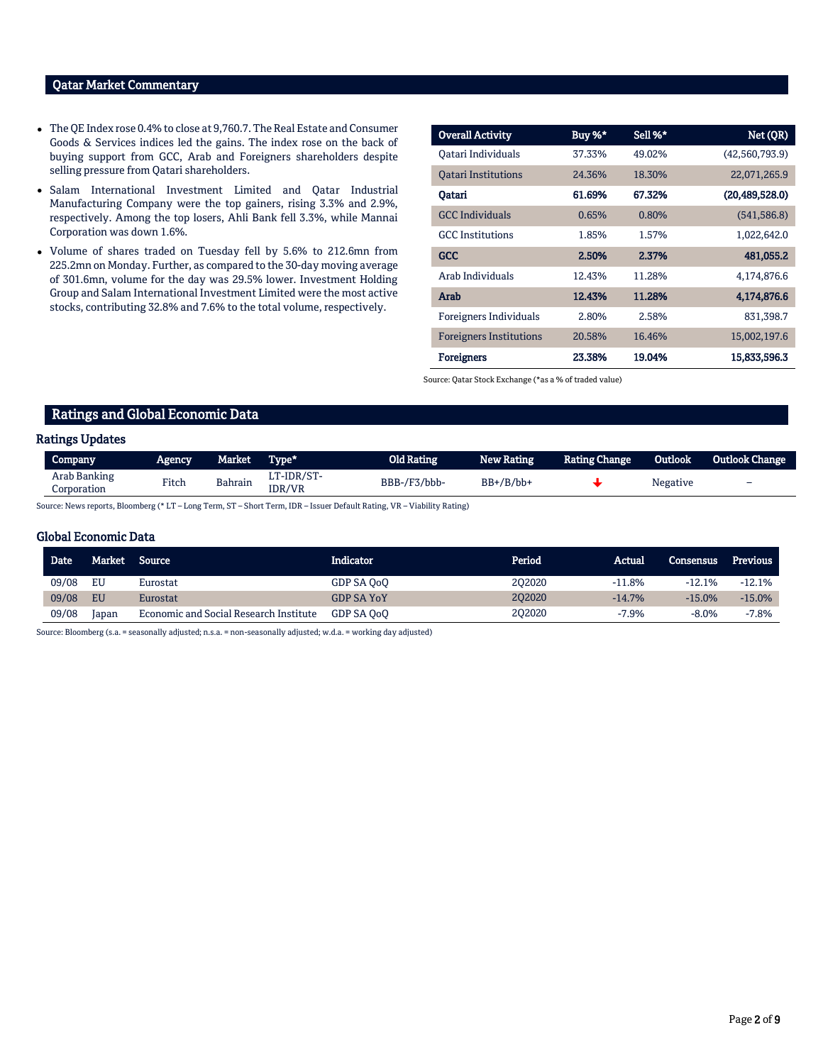# Qatar Market Commentary

- The QE Index rose 0.4% to close at 9,760.7. The Real Estate and Consumer Goods & Services indices led the gains. The index rose on the back of buying support from GCC, Arab and Foreigners shareholders despite selling pressure from Qatari shareholders.
- Salam International Investment Limited and Qatar Industrial Manufacturing Company were the top gainers, rising 3.3% and 2.9%, respectively. Among the top losers, Ahli Bank fell 3.3%, while Mannai Corporation was down 1.6%.
- Volume of shares traded on Tuesday fell by 5.6% to 212.6mn from 225.2mn on Monday. Further, as compared to the 30-day moving average of 301.6mn, volume for the day was 29.5% lower. Investment Holding Group and Salam International Investment Limited were the most active stocks, contributing 32.8% and 7.6% to the total volume, respectively.

| <b>Overall Activity</b>        | Buy %* | Sell %* | Net (QR)         |
|--------------------------------|--------|---------|------------------|
| Qatari Individuals             | 37.33% | 49.02%  | (42,560,793.9)   |
| <b>Oatari Institutions</b>     | 24.36% | 18.30%  | 22,071,265.9     |
| Oatari                         | 61.69% | 67.32%  | (20, 489, 528.0) |
| <b>GCC</b> Individuals         | 0.65%  | 0.80%   | (541, 586.8)     |
| <b>GCC</b> Institutions        | 1.85%  | 1.57%   | 1,022,642.0      |
| <b>GCC</b>                     | 2.50%  | 2.37%   | 481,055.2        |
| Arab Individuals               | 12.43% | 11.28%  | 4,174,876.6      |
| Arab                           | 12.43% | 11.28%  | 4,174,876.6      |
| Foreigners Individuals         | 2.80%  | 2.58%   | 831,398.7        |
| <b>Foreigners Institutions</b> | 20.58% | 16.46%  | 15,002,197.6     |
| <b>Foreigners</b>              | 23.38% | 19.04%  | 15,833,596.3     |

Source: Qatar Stock Exchange (\*as a % of traded value)

# Ratings and Global Economic Data

### Ratings Updates

| Company                     | Agency | Market         | Type*                | Old Rating   | <b>New Rating</b> | <b>Rating Change</b> | <b>Outlook</b> | <b>Outlook Change</b> |
|-----------------------------|--------|----------------|----------------------|--------------|-------------------|----------------------|----------------|-----------------------|
| Arab Banking<br>Corporation | Fitch  | <b>Bahrain</b> | LT-IDR/ST-<br>IDR/VR | BBB-/F3/bbb- | $BB+/B/bb+$       |                      | Negative       | -                     |

Source: News reports, Bloomberg (\* LT – Long Term, ST – Short Term, IDR – Issuer Default Rating, VR – Viability Rating)

#### Global Economic Data

| <b>Date</b> | Market | Source <b>S</b>                        | Indicator         | Period | Actual   | Consensus | Previous |
|-------------|--------|----------------------------------------|-------------------|--------|----------|-----------|----------|
| 09/08       | EU     | Eurostat                               | GDP SA OoO        | 202020 | $-11.8%$ | $-12.1%$  | $-12.1%$ |
| 09/08       | EU     | Eurostat                               | <b>GDP SA YoY</b> | 202020 | $-14.7%$ | $-15.0%$  | $-15.0%$ |
| 09/08       | Japan  | Economic and Social Research Institute | GDP SA OoO        | 202020 | $-7.9%$  | $-8.0%$   | $-7.8%$  |

Source: Bloomberg (s.a. = seasonally adjusted; n.s.a. = non-seasonally adjusted; w.d.a. = working day adjusted)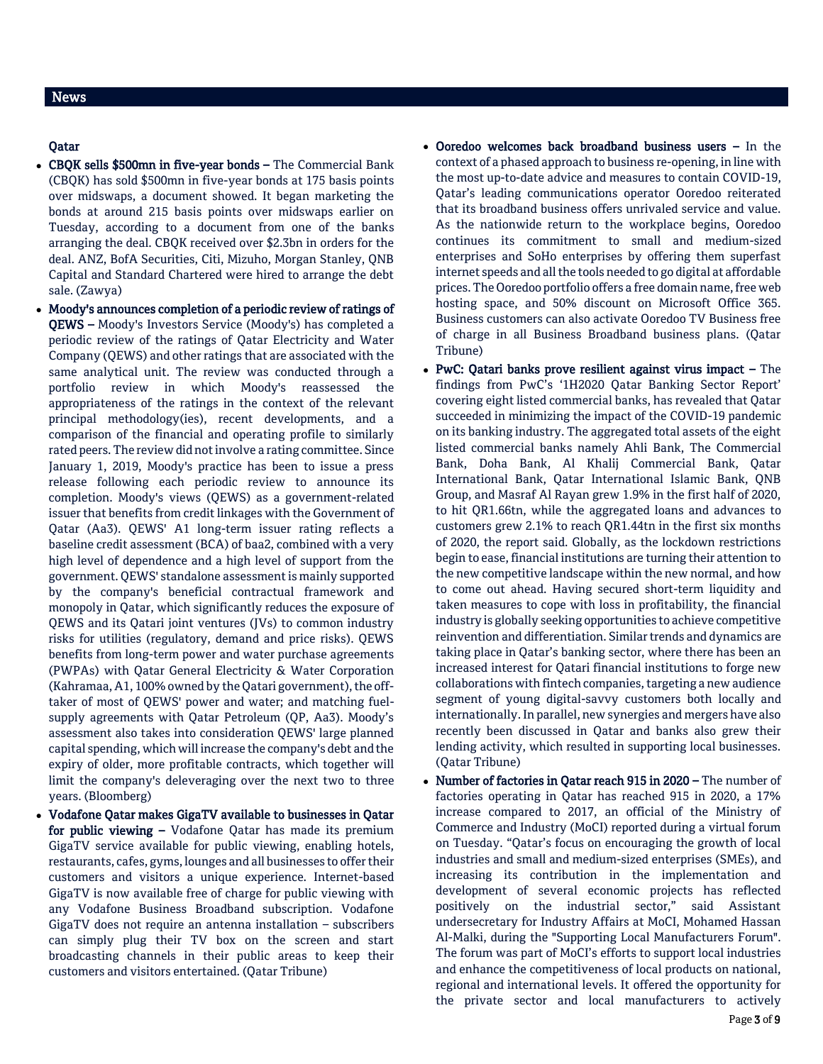# Qatar

- CBQK sells \$500mn in five-year bonds The Commercial Bank (CBQK) has sold \$500mn in five-year bonds at 175 basis points over midswaps, a document showed. It began marketing the bonds at around 215 basis points over midswaps earlier on Tuesday, according to a document from one of the banks arranging the deal. CBQK received over \$2.3bn in orders for the deal. ANZ, BofA Securities, Citi, Mizuho, Morgan Stanley, QNB Capital and Standard Chartered were hired to arrange the debt sale. (Zawya)
- Moody's announces completion of a periodic review of ratings of QEWS – Moody's Investors Service (Moody's) has completed a periodic review of the ratings of Qatar Electricity and Water Company (QEWS) and other ratings that are associated with the same analytical unit. The review was conducted through a portfolio review in which Moody's reassessed the appropriateness of the ratings in the context of the relevant principal methodology(ies), recent developments, and a comparison of the financial and operating profile to similarly rated peers. The review did not involve a rating committee. Since January 1, 2019, Moody's practice has been to issue a press release following each periodic review to announce its completion. Moody's views (QEWS) as a government-related issuer that benefits from credit linkages with the Government of Qatar (Aa3). QEWS' A1 long-term issuer rating reflects a baseline credit assessment (BCA) of baa2, combined with a very high level of dependence and a high level of support from the government. QEWS' standalone assessment is mainly supported by the company's beneficial contractual framework and monopoly in Qatar, which significantly reduces the exposure of QEWS and its Qatari joint ventures (JVs) to common industry risks for utilities (regulatory, demand and price risks). QEWS benefits from long-term power and water purchase agreements (PWPAs) with Qatar General Electricity & Water Corporation (Kahramaa, A1, 100% owned by the Qatari government), the offtaker of most of QEWS' power and water; and matching fuelsupply agreements with Qatar Petroleum (QP, Aa3). Moody's assessment also takes into consideration QEWS' large planned capital spending, which will increase the company's debt and the expiry of older, more profitable contracts, which together will limit the company's deleveraging over the next two to three years. (Bloomberg)
- Vodafone Qatar makes GigaTV available to businesses in Qatar for public viewing – Vodafone Qatar has made its premium GigaTV service available for public viewing, enabling hotels, restaurants, cafes, gyms, lounges and all businesses to offer their customers and visitors a unique experience. Internet-based GigaTV is now available free of charge for public viewing with any Vodafone Business Broadband subscription. Vodafone GigaTV does not require an antenna installation – subscribers can simply plug their TV box on the screen and start broadcasting channels in their public areas to keep their customers and visitors entertained. (Qatar Tribune)
- Ooredoo welcomes back broadband business users In the context of a phased approach to business re-opening, in line with the most up-to-date advice and measures to contain COVID-19, Qatar's leading communications operator Ooredoo reiterated that its broadband business offers unrivaled service and value. As the nationwide return to the workplace begins, Ooredoo continues its commitment to small and medium-sized enterprises and SoHo enterprises by offering them superfast internet speeds and all the tools needed to go digital at affordable prices. The Ooredoo portfolio offers a free domain name, free web hosting space, and 50% discount on Microsoft Office 365. Business customers can also activate Ooredoo TV Business free of charge in all Business Broadband business plans. (Qatar Tribune)
- PwC: Qatari banks prove resilient against virus impact The findings from PwC's '1H2020 Qatar Banking Sector Report' covering eight listed commercial banks, has revealed that Qatar succeeded in minimizing the impact of the COVID-19 pandemic on its banking industry. The aggregated total assets of the eight listed commercial banks namely Ahli Bank, The Commercial Bank, Doha Bank, Al Khalij Commercial Bank, Qatar International Bank, Qatar International Islamic Bank, QNB Group, and Masraf Al Rayan grew 1.9% in the first half of 2020, to hit QR1.66tn, while the aggregated loans and advances to customers grew 2.1% to reach QR1.44tn in the first six months of 2020, the report said. Globally, as the lockdown restrictions begin to ease, financial institutions are turning their attention to the new competitive landscape within the new normal, and how to come out ahead. Having secured short-term liquidity and taken measures to cope with loss in profitability, the financial industry is globally seeking opportunities to achieve competitive reinvention and differentiation. Similar trends and dynamics are taking place in Qatar's banking sector, where there has been an increased interest for Qatari financial institutions to forge new collaborations with fintech companies, targeting a new audience segment of young digital-savvy customers both locally and internationally. In parallel, new synergies and mergers have also recently been discussed in Qatar and banks also grew their lending activity, which resulted in supporting local businesses. (Qatar Tribune)
- Number of factories in Qatar reach 915 in 2020 The number of factories operating in Qatar has reached 915 in 2020, a 17% increase compared to 2017, an official of the Ministry of Commerce and Industry (MoCI) reported during a virtual forum on Tuesday. "Qatar's focus on encouraging the growth of local industries and small and medium-sized enterprises (SMEs), and increasing its contribution in the implementation and development of several economic projects has reflected positively on the industrial sector," said Assistant undersecretary for Industry Affairs at MoCI, Mohamed Hassan Al-Malki, during the "Supporting Local Manufacturers Forum". The forum was part of MoCI's efforts to support local industries and enhance the competitiveness of local products on national, regional and international levels. It offered the opportunity for the private sector and local manufacturers to actively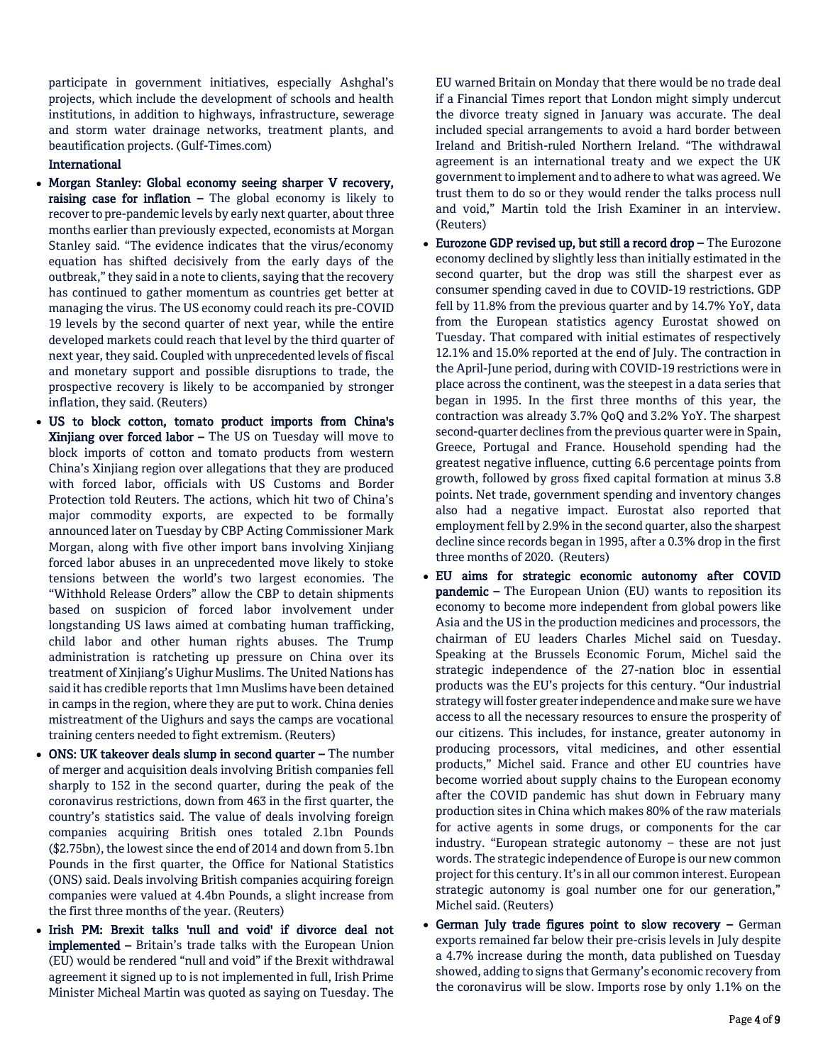participate in government initiatives, especially Ashghal's projects, which include the development of schools and health institutions, in addition to highways, infrastructure, sewerage and storm water drainage networks, treatment plants, and beautification projects. (Gulf-Times.com)

### International

- Morgan Stanley: Global economy seeing sharper V recovery, raising case for inflation  $-$  The global economy is likely to recover to pre-pandemic levels by early next quarter, about three months earlier than previously expected, economists at Morgan Stanley said. "The evidence indicates that the virus/economy equation has shifted decisively from the early days of the outbreak," they said in a note to clients, saying that the recovery has continued to gather momentum as countries get better at managing the virus. The US economy could reach its pre-COVID 19 levels by the second quarter of next year, while the entire developed markets could reach that level by the third quarter of next year, they said. Coupled with unprecedented levels of fiscal and monetary support and possible disruptions to trade, the prospective recovery is likely to be accompanied by stronger inflation, they said. (Reuters)
- US to block cotton, tomato product imports from China's Xinjiang over forced labor – The US on Tuesday will move to block imports of cotton and tomato products from western China's Xinjiang region over allegations that they are produced with forced labor, officials with US Customs and Border Protection told Reuters. The actions, which hit two of China's major commodity exports, are expected to be formally announced later on Tuesday by CBP Acting Commissioner Mark Morgan, along with five other import bans involving Xinjiang forced labor abuses in an unprecedented move likely to stoke tensions between the world's two largest economies. The "Withhold Release Orders" allow the CBP to detain shipments based on suspicion of forced labor involvement under longstanding US laws aimed at combating human trafficking, child labor and other human rights abuses. The Trump administration is ratcheting up pressure on China over its treatment of Xinjiang's Uighur Muslims. The United Nations has said it has credible reports that 1mn Muslims have been detained in camps in the region, where they are put to work. China denies mistreatment of the Uighurs and says the camps are vocational training centers needed to fight extremism. (Reuters)
- ONS: UK takeover deals slump in second quarter The number of merger and acquisition deals involving British companies fell sharply to 152 in the second quarter, during the peak of the coronavirus restrictions, down from 463 in the first quarter, the country's statistics said. The value of deals involving foreign companies acquiring British ones totaled 2.1bn Pounds (\$2.75bn), the lowest since the end of 2014 and down from 5.1bn Pounds in the first quarter, the Office for National Statistics (ONS) said. Deals involving British companies acquiring foreign companies were valued at 4.4bn Pounds, a slight increase from the first three months of the year. (Reuters)
- Irish PM: Brexit talks 'null and void' if divorce deal not implemented – Britain's trade talks with the European Union (EU) would be rendered "null and void" if the Brexit withdrawal agreement it signed up to is not implemented in full, Irish Prime Minister Micheal Martin was quoted as saying on Tuesday. The

EU warned Britain on Monday that there would be no trade deal if a Financial Times report that London might simply undercut the divorce treaty signed in January was accurate. The deal included special arrangements to avoid a hard border between Ireland and British-ruled Northern Ireland. "The withdrawal agreement is an international treaty and we expect the UK government to implement and to adhere to what was agreed. We trust them to do so or they would render the talks process null and void," Martin told the Irish Examiner in an interview. (Reuters)

- Eurozone GDP revised up, but still a record drop The Eurozone economy declined by slightly less than initially estimated in the second quarter, but the drop was still the sharpest ever as consumer spending caved in due to COVID-19 restrictions. GDP fell by 11.8% from the previous quarter and by 14.7% YoY, data from the European statistics agency Eurostat showed on Tuesday. That compared with initial estimates of respectively 12.1% and 15.0% reported at the end of July. The contraction in the April-June period, during with COVID-19 restrictions were in place across the continent, was the steepest in a data series that began in 1995. In the first three months of this year, the contraction was already 3.7% QoQ and 3.2% YoY. The sharpest second-quarter declines from the previous quarter were in Spain, Greece, Portugal and France. Household spending had the greatest negative influence, cutting 6.6 percentage points from growth, followed by gross fixed capital formation at minus 3.8 points. Net trade, government spending and inventory changes also had a negative impact. Eurostat also reported that employment fell by 2.9% in the second quarter, also the sharpest decline since records began in 1995, after a 0.3% drop in the first three months of 2020. (Reuters)
- EU aims for strategic economic autonomy after COVID pandemic – The European Union (EU) wants to reposition its economy to become more independent from global powers like Asia and the US in the production medicines and processors, the chairman of EU leaders Charles Michel said on Tuesday. Speaking at the Brussels Economic Forum, Michel said the strategic independence of the 27-nation bloc in essential products was the EU's projects for this century. "Our industrial strategy will foster greater independence and make sure we have access to all the necessary resources to ensure the prosperity of our citizens. This includes, for instance, greater autonomy in producing processors, vital medicines, and other essential products," Michel said. France and other EU countries have become worried about supply chains to the European economy after the COVID pandemic has shut down in February many production sites in China which makes 80% of the raw materials for active agents in some drugs, or components for the car industry. "European strategic autonomy – these are not just words. The strategic independence of Europe is our new common project for this century. It's in all our common interest. European strategic autonomy is goal number one for our generation," Michel said. (Reuters)
- German July trade figures point to slow recovery German exports remained far below their pre-crisis levels in July despite a 4.7% increase during the month, data published on Tuesday showed, adding to signs that Germany's economic recovery from the coronavirus will be slow. Imports rose by only 1.1% on the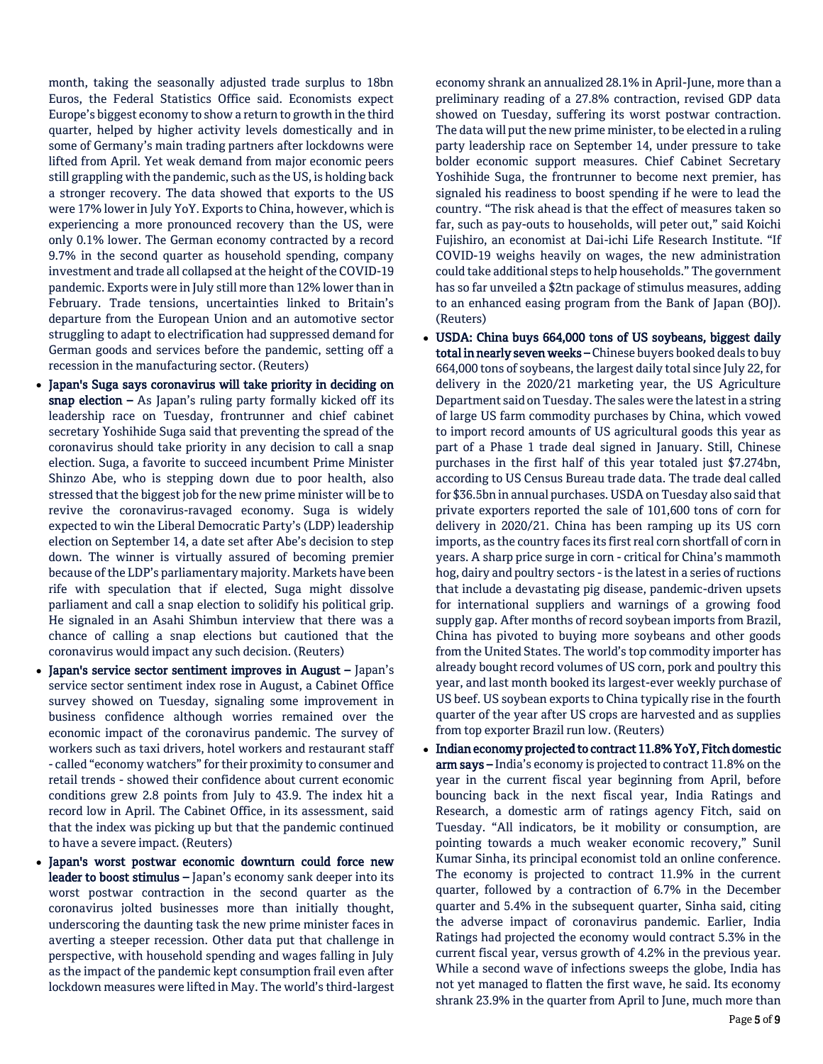month, taking the seasonally adjusted trade surplus to 18bn Euros, the Federal Statistics Office said. Economists expect Europe's biggest economy to show a return to growth in the third quarter, helped by higher activity levels domestically and in some of Germany's main trading partners after lockdowns were lifted from April. Yet weak demand from major economic peers still grappling with the pandemic, such as the US, is holding back a stronger recovery. The data showed that exports to the US were 17% lower in July YoY. Exports to China, however, which is experiencing a more pronounced recovery than the US, were only 0.1% lower. The German economy contracted by a record 9.7% in the second quarter as household spending, company investment and trade all collapsed at the height of the COVID-19 pandemic. Exports were in July still more than 12% lower than in February. Trade tensions, uncertainties linked to Britain's departure from the European Union and an automotive sector struggling to adapt to electrification had suppressed demand for German goods and services before the pandemic, setting off a recession in the manufacturing sector. (Reuters)

- Japan's Suga says coronavirus will take priority in deciding on snap election  $-$  As Japan's ruling party formally kicked off its leadership race on Tuesday, frontrunner and chief cabinet secretary Yoshihide Suga said that preventing the spread of the coronavirus should take priority in any decision to call a snap election. Suga, a favorite to succeed incumbent Prime Minister Shinzo Abe, who is stepping down due to poor health, also stressed that the biggest job for the new prime minister will be to revive the coronavirus-ravaged economy. Suga is widely expected to win the Liberal Democratic Party's (LDP) leadership election on September 14, a date set after Abe's decision to step down. The winner is virtually assured of becoming premier because of the LDP's parliamentary majority. Markets have been rife with speculation that if elected, Suga might dissolve parliament and call a snap election to solidify his political grip. He signaled in an Asahi Shimbun interview that there was a chance of calling a snap elections but cautioned that the coronavirus would impact any such decision. (Reuters)
- Japan's service sector sentiment improves in August Japan's service sector sentiment index rose in August, a Cabinet Office survey showed on Tuesday, signaling some improvement in business confidence although worries remained over the economic impact of the coronavirus pandemic. The survey of workers such as taxi drivers, hotel workers and restaurant staff - called "economy watchers" for their proximity to consumer and retail trends - showed their confidence about current economic conditions grew 2.8 points from July to 43.9. The index hit a record low in April. The Cabinet Office, in its assessment, said that the index was picking up but that the pandemic continued to have a severe impact. (Reuters)
- Japan's worst postwar economic downturn could force new leader to boost stimulus - Japan's economy sank deeper into its worst postwar contraction in the second quarter as the coronavirus jolted businesses more than initially thought, underscoring the daunting task the new prime minister faces in averting a steeper recession. Other data put that challenge in perspective, with household spending and wages falling in July as the impact of the pandemic kept consumption frail even after lockdown measures were lifted in May. The world's third-largest

economy shrank an annualized 28.1% in April-June, more than a preliminary reading of a 27.8% contraction, revised GDP data showed on Tuesday, suffering its worst postwar contraction. The data will put the new prime minister, to be elected in a ruling party leadership race on September 14, under pressure to take bolder economic support measures. Chief Cabinet Secretary Yoshihide Suga, the frontrunner to become next premier, has signaled his readiness to boost spending if he were to lead the country. "The risk ahead is that the effect of measures taken so far, such as pay-outs to households, will peter out," said Koichi Fujishiro, an economist at Dai-ichi Life Research Institute. "If COVID-19 weighs heavily on wages, the new administration could take additional steps to help households." The government has so far unveiled a \$2tn package of stimulus measures, adding to an enhanced easing program from the Bank of Japan (BOJ). (Reuters)

- USDA: China buys 664,000 tons of US soybeans, biggest daily total in nearly seven weeks - Chinese buyers booked deals to buy 664,000 tons of soybeans, the largest daily total since July 22, for delivery in the 2020/21 marketing year, the US Agriculture Department said on Tuesday. The sales were the latest in a string of large US farm commodity purchases by China, which vowed to import record amounts of US agricultural goods this year as part of a Phase 1 trade deal signed in January. Still, Chinese purchases in the first half of this year totaled just \$7.274bn, according to US Census Bureau trade data. The trade deal called for \$36.5bn in annual purchases. USDA on Tuesday also said that private exporters reported the sale of 101,600 tons of corn for delivery in 2020/21. China has been ramping up its US corn imports, as the country faces its first real corn shortfall of corn in years. A sharp price surge in corn - critical for China's mammoth hog, dairy and poultry sectors - is the latest in a series of ructions that include a devastating pig disease, pandemic-driven upsets for international suppliers and warnings of a growing food supply gap. After months of record soybean imports from Brazil, China has pivoted to buying more soybeans and other goods from the United States. The world's top commodity importer has already bought record volumes of US corn, pork and poultry this year, and last month booked its largest-ever weekly purchase of US beef. US soybean exports to China typically rise in the fourth quarter of the year after US crops are harvested and as supplies from top exporter Brazil run low. (Reuters)
- Indian economy projected to contract 11.8% YoY, Fitch domestic arm says – India's economy is projected to contract 11.8% on the year in the current fiscal year beginning from April, before bouncing back in the next fiscal year, India Ratings and Research, a domestic arm of ratings agency Fitch, said on Tuesday. "All indicators, be it mobility or consumption, are pointing towards a much weaker economic recovery," Sunil Kumar Sinha, its principal economist told an online conference. The economy is projected to contract 11.9% in the current quarter, followed by a contraction of 6.7% in the December quarter and 5.4% in the subsequent quarter, Sinha said, citing the adverse impact of coronavirus pandemic. Earlier, India Ratings had projected the economy would contract 5.3% in the current fiscal year, versus growth of 4.2% in the previous year. While a second wave of infections sweeps the globe, India has not yet managed to flatten the first wave, he said. Its economy shrank 23.9% in the quarter from April to June, much more than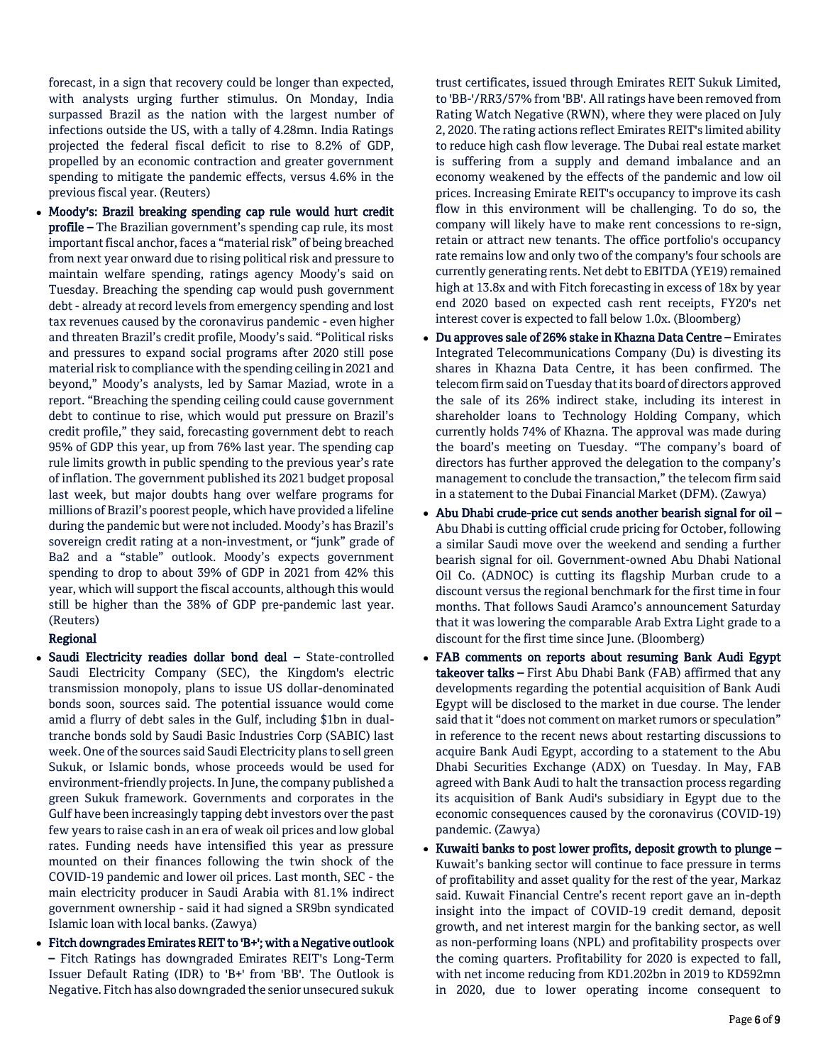forecast, in a sign that recovery could be longer than expected, with analysts urging further stimulus. On Monday, India surpassed Brazil as the nation with the largest number of infections outside the US, with a tally of 4.28mn. India Ratings projected the federal fiscal deficit to rise to 8.2% of GDP, propelled by an economic contraction and greater government spending to mitigate the pandemic effects, versus 4.6% in the previous fiscal year. (Reuters)

 Moody's: Brazil breaking spending cap rule would hurt credit profile – The Brazilian government's spending cap rule, its most important fiscal anchor, faces a "material risk" of being breached from next year onward due to rising political risk and pressure to maintain welfare spending, ratings agency Moody's said on Tuesday. Breaching the spending cap would push government debt - already at record levels from emergency spending and lost tax revenues caused by the coronavirus pandemic - even higher and threaten Brazil's credit profile, Moody's said. "Political risks and pressures to expand social programs after 2020 still pose material risk to compliance with the spending ceiling in 2021 and beyond," Moody's analysts, led by Samar Maziad, wrote in a report. "Breaching the spending ceiling could cause government debt to continue to rise, which would put pressure on Brazil's credit profile," they said, forecasting government debt to reach 95% of GDP this year, up from 76% last year. The spending cap rule limits growth in public spending to the previous year's rate of inflation. The government published its 2021 budget proposal last week, but major doubts hang over welfare programs for millions of Brazil's poorest people, which have provided a lifeline during the pandemic but were not included. Moody's has Brazil's sovereign credit rating at a non-investment, or "junk" grade of Ba2 and a "stable" outlook. Moody's expects government spending to drop to about 39% of GDP in 2021 from 42% this year, which will support the fiscal accounts, although this would still be higher than the 38% of GDP pre-pandemic last year. (Reuters)

#### Regional

- Saudi Electricity readies dollar bond deal State-controlled Saudi Electricity Company (SEC), the Kingdom's electric transmission monopoly, plans to issue US dollar-denominated bonds soon, sources said. The potential issuance would come amid a flurry of debt sales in the Gulf, including \$1bn in dualtranche bonds sold by Saudi Basic Industries Corp (SABIC) last week. One of the sources said Saudi Electricity plans to sell green Sukuk, or Islamic bonds, whose proceeds would be used for environment-friendly projects. In June, the company published a green Sukuk framework. Governments and corporates in the Gulf have been increasingly tapping debt investors over the past few years to raise cash in an era of weak oil prices and low global rates. Funding needs have intensified this year as pressure mounted on their finances following the twin shock of the COVID-19 pandemic and lower oil prices. Last month, SEC - the main electricity producer in Saudi Arabia with 81.1% indirect government ownership - said it had signed a SR9bn syndicated Islamic loan with local banks. (Zawya)
- Fitch downgrades Emirates REIT to 'B+'; with a Negative outlook – Fitch Ratings has downgraded Emirates REIT's Long-Term Issuer Default Rating (IDR) to 'B+' from 'BB'. The Outlook is Negative. Fitch has also downgraded the senior unsecured sukuk

trust certificates, issued through Emirates REIT Sukuk Limited, to 'BB-'/RR3/57% from 'BB'. All ratings have been removed from Rating Watch Negative (RWN), where they were placed on July 2, 2020. The rating actions reflect Emirates REIT's limited ability to reduce high cash flow leverage. The Dubai real estate market is suffering from a supply and demand imbalance and an economy weakened by the effects of the pandemic and low oil prices. Increasing Emirate REIT's occupancy to improve its cash flow in this environment will be challenging. To do so, the company will likely have to make rent concessions to re-sign, retain or attract new tenants. The office portfolio's occupancy rate remains low and only two of the company's four schools are currently generating rents. Net debt to EBITDA (YE19) remained high at 13.8x and with Fitch forecasting in excess of 18x by year end 2020 based on expected cash rent receipts, FY20's net interest cover is expected to fall below 1.0x. (Bloomberg)

- Du approves sale of 26% stake in Khazna Data Centre Emirates Integrated Telecommunications Company (Du) is divesting its shares in Khazna Data Centre, it has been confirmed. The telecom firm said on Tuesday that its board of directors approved the sale of its 26% indirect stake, including its interest in shareholder loans to Technology Holding Company, which currently holds 74% of Khazna. The approval was made during the board's meeting on Tuesday. "The company's board of directors has further approved the delegation to the company's management to conclude the transaction," the telecom firm said in a statement to the Dubai Financial Market (DFM). (Zawya)
- Abu Dhabi crude-price cut sends another bearish signal for oil Abu Dhabi is cutting official crude pricing for October, following a similar Saudi move over the weekend and sending a further bearish signal for oil. Government-owned Abu Dhabi National Oil Co. (ADNOC) is cutting its flagship Murban crude to a discount versus the regional benchmark for the first time in four months. That follows Saudi Aramco's announcement Saturday that it was lowering the comparable Arab Extra Light grade to a discount for the first time since June. (Bloomberg)
- FAB comments on reports about resuming Bank Audi Egypt takeover talks - First Abu Dhabi Bank (FAB) affirmed that any developments regarding the potential acquisition of Bank Audi Egypt will be disclosed to the market in due course. The lender said that it "does not comment on market rumors or speculation" in reference to the recent news about restarting discussions to acquire Bank Audi Egypt, according to a statement to the Abu Dhabi Securities Exchange (ADX) on Tuesday. In May, FAB agreed with Bank Audi to halt the transaction process regarding its acquisition of Bank Audi's subsidiary in Egypt due to the economic consequences caused by the coronavirus (COVID-19) pandemic. (Zawya)
- Kuwaiti banks to post lower profits, deposit growth to plunge -Kuwait's banking sector will continue to face pressure in terms of profitability and asset quality for the rest of the year, Markaz said. Kuwait Financial Centre's recent report gave an in-depth insight into the impact of COVID-19 credit demand, deposit growth, and net interest margin for the banking sector, as well as non-performing loans (NPL) and profitability prospects over the coming quarters. Profitability for 2020 is expected to fall, with net income reducing from KD1.202bn in 2019 to KD592mn in 2020, due to lower operating income consequent to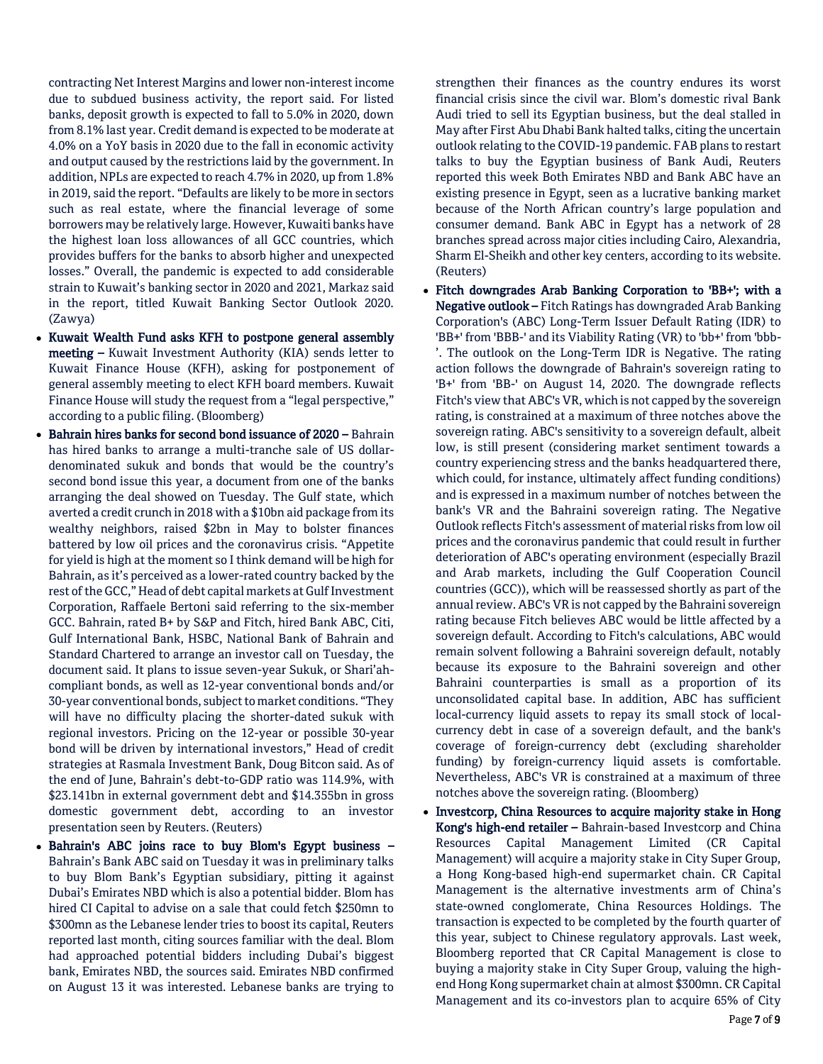contracting Net Interest Margins and lower non-interest income due to subdued business activity, the report said. For listed banks, deposit growth is expected to fall to 5.0% in 2020, down from 8.1% last year. Credit demand is expected to be moderate at 4.0% on a YoY basis in 2020 due to the fall in economic activity and output caused by the restrictions laid by the government. In addition, NPLs are expected to reach 4.7% in 2020, up from 1.8% in 2019, said the report. "Defaults are likely to be more in sectors such as real estate, where the financial leverage of some borrowers may be relatively large. However, Kuwaiti banks have the highest loan loss allowances of all GCC countries, which provides buffers for the banks to absorb higher and unexpected losses." Overall, the pandemic is expected to add considerable strain to Kuwait's banking sector in 2020 and 2021, Markaz said in the report, titled Kuwait Banking Sector Outlook 2020. (Zawya)

- Kuwait Wealth Fund asks KFH to postpone general assembly meeting – Kuwait Investment Authority (KIA) sends letter to Kuwait Finance House (KFH), asking for postponement of general assembly meeting to elect KFH board members. Kuwait Finance House will study the request from a "legal perspective," according to a public filing. (Bloomberg)
- Bahrain hires banks for second bond issuance of 2020 Bahrain has hired banks to arrange a multi-tranche sale of US dollardenominated sukuk and bonds that would be the country's second bond issue this year, a document from one of the banks arranging the deal showed on Tuesday. The Gulf state, which averted a credit crunch in 2018 with a \$10bn aid package from its wealthy neighbors, raised \$2bn in May to bolster finances battered by low oil prices and the coronavirus crisis. "Appetite for yield is high at the moment so I think demand will be high for Bahrain, as it's perceived as a lower-rated country backed by the rest of the GCC," Head of debt capital markets at Gulf Investment Corporation, Raffaele Bertoni said referring to the six-member GCC. Bahrain, rated B+ by S&P and Fitch, hired Bank ABC, Citi, Gulf International Bank, HSBC, National Bank of Bahrain and Standard Chartered to arrange an investor call on Tuesday, the document said. It plans to issue seven-year Sukuk, or Shari'ahcompliant bonds, as well as 12-year conventional bonds and/or 30-year conventional bonds, subject to market conditions. "They will have no difficulty placing the shorter-dated sukuk with regional investors. Pricing on the 12-year or possible 30-year bond will be driven by international investors," Head of credit strategies at Rasmala Investment Bank, Doug Bitcon said. As of the end of June, Bahrain's debt-to-GDP ratio was 114.9%, with \$23.141bn in external government debt and \$14.355bn in gross domestic government debt, according to an investor presentation seen by Reuters. (Reuters)
- Bahrain's ABC joins race to buy Blom's Egypt business Bahrain's Bank ABC said on Tuesday it was in preliminary talks to buy Blom Bank's Egyptian subsidiary, pitting it against Dubai's Emirates NBD which is also a potential bidder. Blom has hired CI Capital to advise on a sale that could fetch \$250mn to \$300mn as the Lebanese lender tries to boost its capital, Reuters reported last month, citing sources familiar with the deal. Blom had approached potential bidders including Dubai's biggest bank, Emirates NBD, the sources said. Emirates NBD confirmed on August 13 it was interested. Lebanese banks are trying to

strengthen their finances as the country endures its worst financial crisis since the civil war. Blom's domestic rival Bank Audi tried to sell its Egyptian business, but the deal stalled in May after First Abu Dhabi Bank halted talks, citing the uncertain outlook relating to the COVID-19 pandemic. FAB plans to restart talks to buy the Egyptian business of Bank Audi, Reuters reported this week Both Emirates NBD and Bank ABC have an existing presence in Egypt, seen as a lucrative banking market because of the North African country's large population and consumer demand. Bank ABC in Egypt has a network of 28 branches spread across major cities including Cairo, Alexandria, Sharm El-Sheikh and other key centers, according to its website. (Reuters)

- Fitch downgrades Arab Banking Corporation to 'BB+'; with a Negative outlook – Fitch Ratings has downgraded Arab Banking Corporation's (ABC) Long-Term Issuer Default Rating (IDR) to 'BB+' from 'BBB-' and its Viability Rating (VR) to 'bb+' from 'bbb- '. The outlook on the Long-Term IDR is Negative. The rating action follows the downgrade of Bahrain's sovereign rating to 'B+' from 'BB-' on August 14, 2020. The downgrade reflects Fitch's view that ABC's VR, which is not capped by the sovereign rating, is constrained at a maximum of three notches above the sovereign rating. ABC's sensitivity to a sovereign default, albeit low, is still present (considering market sentiment towards a country experiencing stress and the banks headquartered there, which could, for instance, ultimately affect funding conditions) and is expressed in a maximum number of notches between the bank's VR and the Bahraini sovereign rating. The Negative Outlook reflects Fitch's assessment of material risks from low oil prices and the coronavirus pandemic that could result in further deterioration of ABC's operating environment (especially Brazil and Arab markets, including the Gulf Cooperation Council countries (GCC)), which will be reassessed shortly as part of the annual review. ABC's VR is not capped by the Bahraini sovereign rating because Fitch believes ABC would be little affected by a sovereign default. According to Fitch's calculations, ABC would remain solvent following a Bahraini sovereign default, notably because its exposure to the Bahraini sovereign and other Bahraini counterparties is small as a proportion of its unconsolidated capital base. In addition, ABC has sufficient local-currency liquid assets to repay its small stock of localcurrency debt in case of a sovereign default, and the bank's coverage of foreign-currency debt (excluding shareholder funding) by foreign-currency liquid assets is comfortable. Nevertheless, ABC's VR is constrained at a maximum of three notches above the sovereign rating. (Bloomberg)
- Investcorp, China Resources to acquire majority stake in Hong Kong's high-end retailer – Bahrain-based Investcorp and China Resources Capital Management Limited (CR Capital Management) will acquire a majority stake in City Super Group, a Hong Kong-based high-end supermarket chain. CR Capital Management is the alternative investments arm of China's state-owned conglomerate, China Resources Holdings. The transaction is expected to be completed by the fourth quarter of this year, subject to Chinese regulatory approvals. Last week, Bloomberg reported that CR Capital Management is close to buying a majority stake in City Super Group, valuing the highend Hong Kong supermarket chain at almost \$300mn. CR Capital Management and its co-investors plan to acquire 65% of City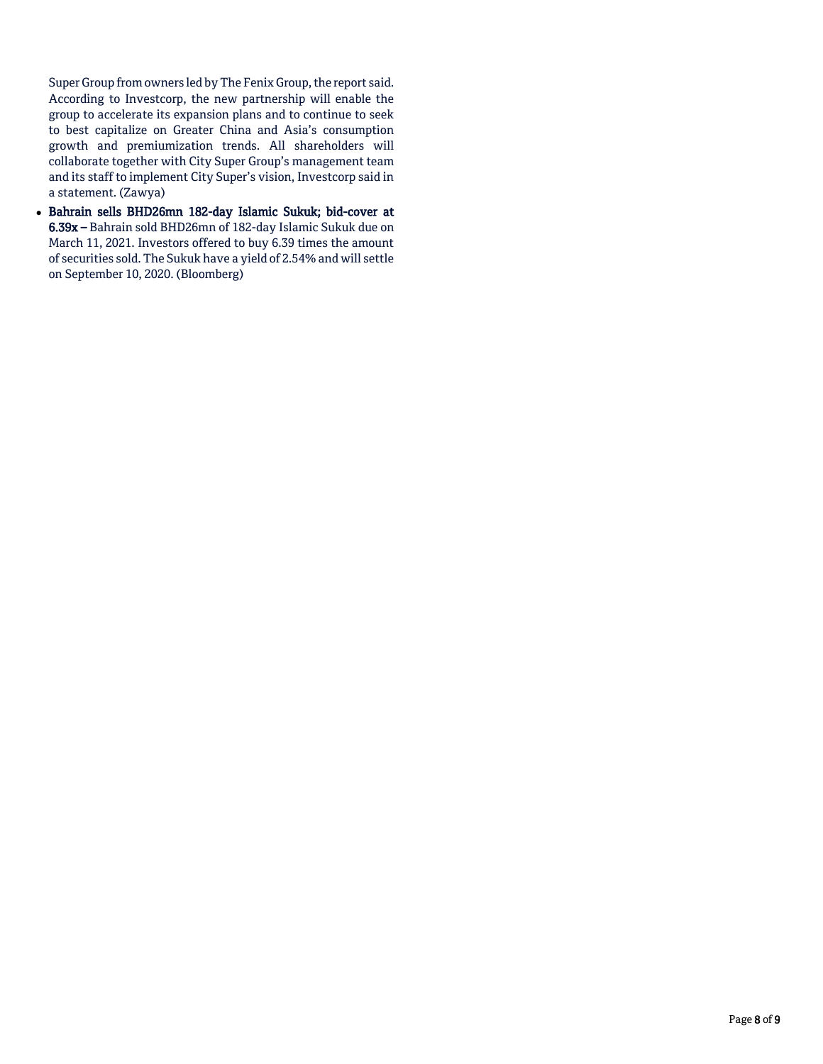Super Group from owners led by The Fenix Group, the report said. According to Investcorp, the new partnership will enable the group to accelerate its expansion plans and to continue to seek to best capitalize on Greater China and Asia's consumption growth and premiumization trends. All shareholders will collaborate together with City Super Group's management team and its staff to implement City Super's vision, Investcorp said in a statement. (Zawya)

 Bahrain sells BHD26mn 182-day Islamic Sukuk; bid-cover at 6.39x – Bahrain sold BHD26mn of 182-day Islamic Sukuk due on March 11, 2021. Investors offered to buy 6.39 times the amount of securities sold. The Sukuk have a yield of 2.54% and will settle on September 10, 2020. (Bloomberg)